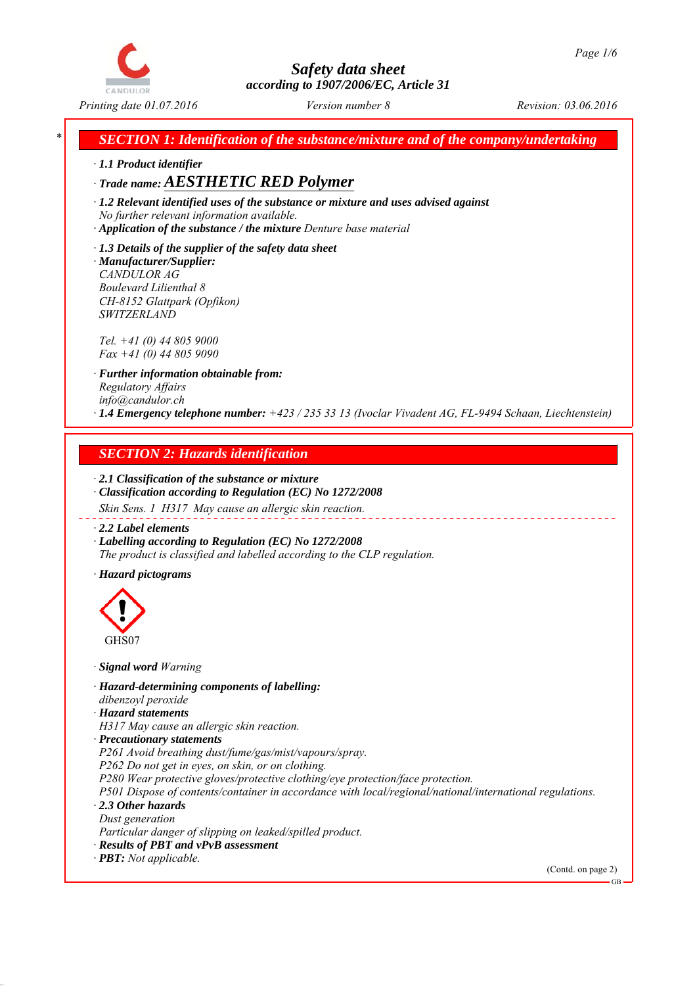

*\* SECTION 1: Identification of the substance/mixture and of the company/undertaking*

*∙ 1.1 Product identifier*

*∙ Trade name: AESTHETIC RED Polymer*

*∙ 1.2 Relevant identified uses of the substance or mixture and uses advised against No further relevant information available.*

*∙ Application of the substance / the mixture Denture base material*

*∙ 1.3 Details of the supplier of the safety data sheet ∙ Manufacturer/Supplier: CANDULOR AG Boulevard Lilienthal 8 CH-8152 Glattpark (Opfikon) SWITZERLAND*

*Tel. +41 (0) 44 805 9000 Fax +41 (0) 44 805 9090*

*∙ Further information obtainable from: Regulatory Affairs info@candulor.ch ∙ 1.4 Emergency telephone number: +423 / 235 33 13 (Ivoclar Vivadent AG, FL-9494 Schaan, Liechtenstein)*

# *SECTION 2: Hazards identification*

*∙ 2.1 Classification of the substance or mixture ∙ Classification according to Regulation (EC) No 1272/2008*

*Skin Sens. 1 H317 May cause an allergic skin reaction.*

*∙ 2.2 Label elements*

*∙ Labelling according to Regulation (EC) No 1272/2008 The product is classified and labelled according to the CLP regulation.*

*∙ Hazard pictograms*



*∙ Signal word Warning*

*∙ Hazard-determining components of labelling: dibenzoyl peroxide*

*∙ Hazard statements*

*H317 May cause an allergic skin reaction.*

*∙ Precautionary statements*

*P261 Avoid breathing dust/fume/gas/mist/vapours/spray.*

*P262 Do not get in eyes, on skin, or on clothing.*

*P280 Wear protective gloves/protective clothing/eye protection/face protection.*

*P501 Dispose of contents/container in accordance with local/regional/national/international regulations. ∙ 2.3 Other hazards*

*Dust generation*

*Particular danger of slipping on leaked/spilled product.*

*∙ Results of PBT and vPvB assessment*

*∙ PBT: Not applicable.*

(Contd. on page 2)

GB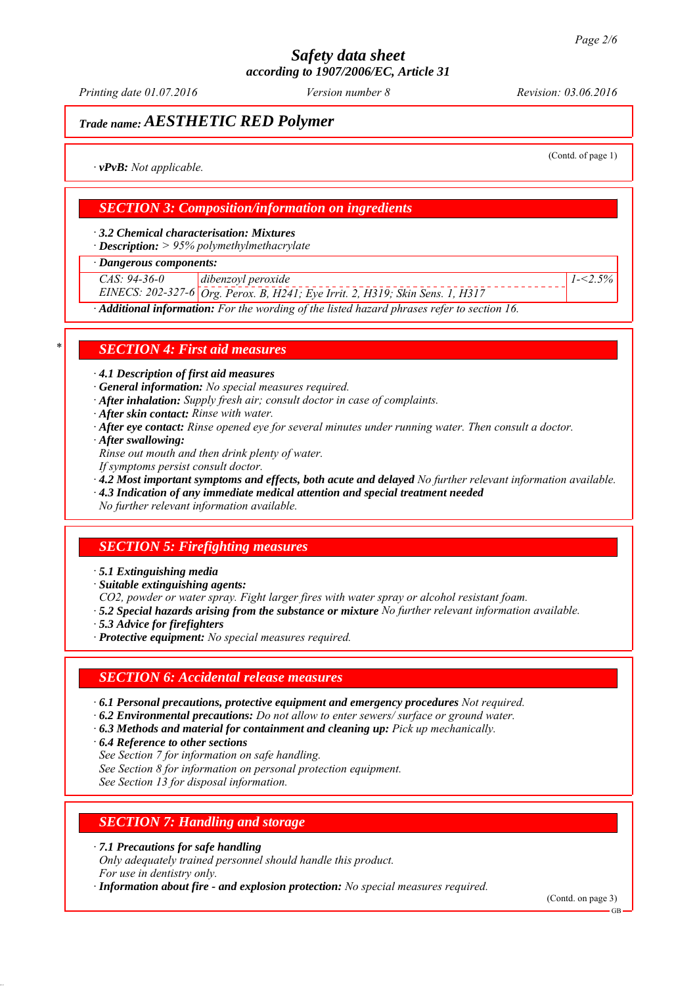*Printing date 01.07.2016 Revision: 03.06.2016 Version number 8*

# *Trade name: AESTHETIC RED Polymer*

(Contd. of page 1)

*1-<2.5%*

*∙ vPvB: Not applicable.*

## *SECTION 3: Composition/information on ingredients*

*∙ 3.2 Chemical characterisation: Mixtures*

*∙ Description: > 95% polymethylmethacrylate*

*∙ Dangerous components:*

*CAS: 94-36-0 dibenzoyl peroxide*

*EINECS: 202-327-6 Org. Perox. B, H241; Eye Irrit. 2, H319; Skin Sens. 1, H317*

*∙ Additional information: For the wording of the listed hazard phrases refer to section 16.*

### *\* SECTION 4: First aid measures*

*∙ 4.1 Description of first aid measures*

*∙ General information: No special measures required.*

- *∙ After inhalation: Supply fresh air; consult doctor in case of complaints.*
- *∙ After skin contact: Rinse with water.*
- *∙ After eye contact: Rinse opened eye for several minutes under running water. Then consult a doctor.*
- *∙ After swallowing:*

*Rinse out mouth and then drink plenty of water.*

- *If symptoms persist consult doctor.*
- *∙ 4.2 Most important symptoms and effects, both acute and delayed No further relevant information available.*
- *∙ 4.3 Indication of any immediate medical attention and special treatment needed*

*No further relevant information available.*

## *SECTION 5: Firefighting measures*

*∙ 5.1 Extinguishing media*

- *∙ Suitable extinguishing agents:*
- *CO2, powder or water spray. Fight larger fires with water spray or alcohol resistant foam.*
- *∙ 5.2 Special hazards arising from the substance or mixture No further relevant information available.*
- *∙ 5.3 Advice for firefighters*
- *∙ Protective equipment: No special measures required.*

### *SECTION 6: Accidental release measures*

- *∙ 6.1 Personal precautions, protective equipment and emergency procedures Not required.*
- *∙ 6.2 Environmental precautions: Do not allow to enter sewers/ surface or ground water.*
- *∙ 6.3 Methods and material for containment and cleaning up: Pick up mechanically.*
- *∙ 6.4 Reference to other sections*
- *See Section 7 for information on safe handling.*
- *See Section 8 for information on personal protection equipment.*

*See Section 13 for disposal information.*

### *SECTION 7: Handling and storage*

*∙ 7.1 Precautions for safe handling*

*Only adequately trained personnel should handle this product. For use in dentistry only.*

*∙ Information about fire - and explosion protection: No special measures required.*

(Contd. on page 3)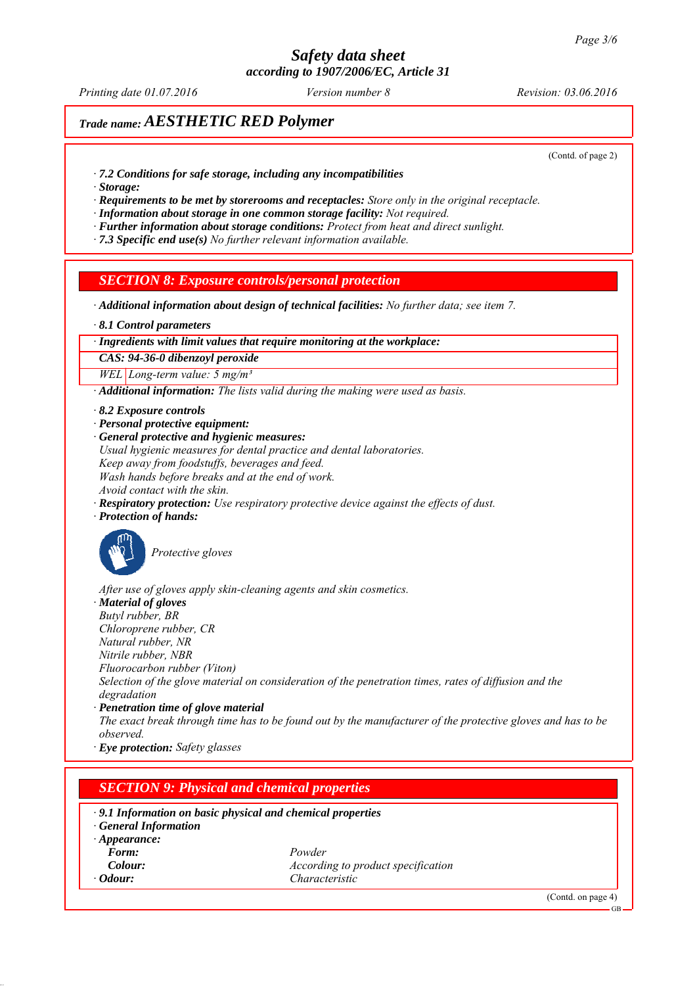*Printing date 01.07.2016 Revision: 03.06.2016 Version number 8*

# *Trade name: AESTHETIC RED Polymer*

(Contd. of page 2)

- *∙ 7.2 Conditions for safe storage, including any incompatibilities*
- *∙ Storage:*

*∙ Requirements to be met by storerooms and receptacles: Store only in the original receptacle.*

*∙ Information about storage in one common storage facility: Not required.*

*∙ Further information about storage conditions: Protect from heat and direct sunlight.*

*∙ 7.3 Specific end use(s) No further relevant information available.*

## *SECTION 8: Exposure controls/personal protection*

*∙ Additional information about design of technical facilities: No further data; see item 7.*

*∙ 8.1 Control parameters*

#### *∙ Ingredients with limit values that require monitoring at the workplace:*

*CAS: 94-36-0 dibenzoyl peroxide*

*WEL Long-term value: 5 mg/m³*

*∙ Additional information: The lists valid during the making were used as basis.*

- *∙ 8.2 Exposure controls*
- *∙ Personal protective equipment:*

*∙ General protective and hygienic measures: Usual hygienic measures for dental practice and dental laboratories. Keep away from foodstuffs, beverages and feed. Wash hands before breaks and at the end of work. Avoid contact with the skin.*

*∙ Respiratory protection: Use respiratory protective device against the effects of dust.*

*∙ Protection of hands:*



*Protective gloves*

*After use of gloves apply skin-cleaning agents and skin cosmetics.*

*∙ Material of gloves*

*Butyl rubber, BR Chloroprene rubber, CR*

*Natural rubber, NR*

*Nitrile rubber, NBR*

*Fluorocarbon rubber (Viton)*

*Selection of the glove material on consideration of the penetration times, rates of diffusion and the degradation*

*∙ Penetration time of glove material*

*The exact break through time has to be found out by the manufacturer of the protective gloves and has to be observed.*

*∙ Eye protection: Safety glasses*

### *SECTION 9: Physical and chemical properties*

#### *∙ 9.1 Information on basic physical and chemical properties*

*∙ General Information*

- *∙ Appearance:*
- *Form: Powder Colour: According to product specification ∙ Odour: Characteristic*

(Contd. on page 4)

GB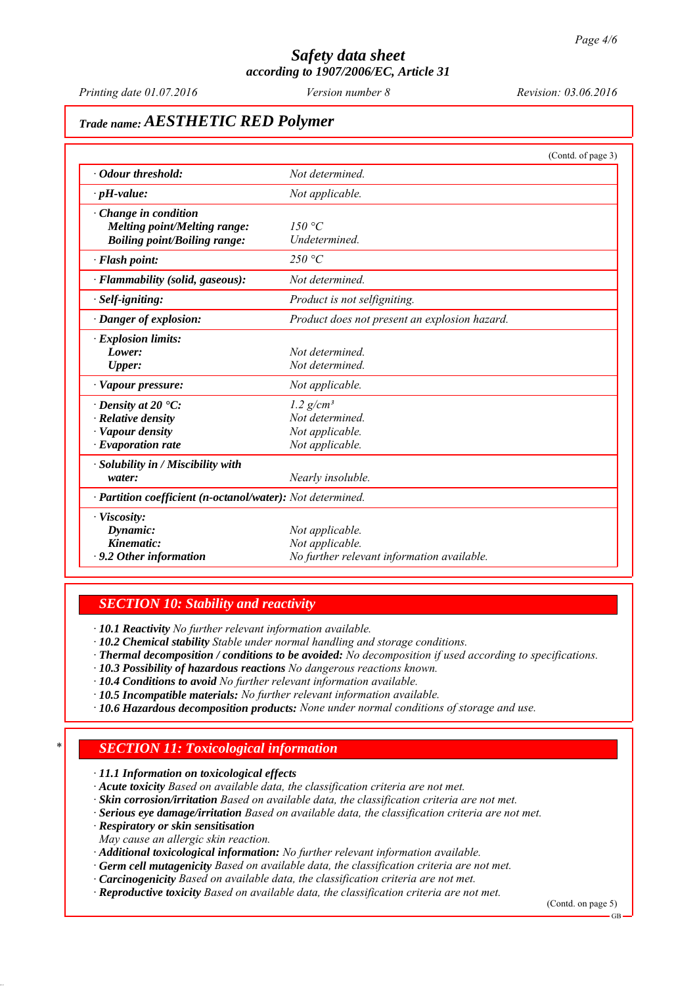*Printing date 01.07.2016 Revision: 03.06.2016 Version number 8*

# *Trade name: AESTHETIC RED Polymer*

|                                                            | (Contd. of page 3)                            |
|------------------------------------------------------------|-----------------------------------------------|
| • Odour threshold:                                         | Not determined.                               |
| $\cdot$ pH-value:                                          | Not applicable.                               |
| $\cdot$ Change in condition                                |                                               |
| <b>Melting point/Melting range:</b>                        | 150 $\degree$ C                               |
| <b>Boiling point/Boiling range:</b>                        | Undetermined.                                 |
| $\cdot$ Flash point:                                       | 250 °C                                        |
| · Flammability (solid, gaseous):                           | Not determined.                               |
| · Self-igniting:                                           | Product is not selfigniting.                  |
| · Danger of explosion:                                     | Product does not present an explosion hazard. |
| · Explosion limits:                                        |                                               |
| Lower:                                                     | Not determined.                               |
| <b>Upper:</b>                                              | Not determined.                               |
| · Vapour pressure:                                         | Not applicable.                               |
| $\cdot$ Density at 20 $\cdot$ C:                           | $1.2$ g/cm <sup>3</sup>                       |
| $\cdot$ Relative density                                   | Not determined.                               |
| · Vapour density                                           | Not applicable.                               |
| $\cdot$ Evaporation rate                                   | Not applicable.                               |
| $\cdot$ Solubility in / Miscibility with                   |                                               |
| water:                                                     | Nearly insoluble.                             |
| · Partition coefficient (n-octanol/water): Not determined. |                                               |
| · Viscosity:                                               |                                               |
| Dynamic:                                                   | Not applicable.                               |
| Kinematic:                                                 | Not applicable.                               |
| $\cdot$ 9.2 Other information                              | No further relevant information available.    |

### *SECTION 10: Stability and reactivity*

*∙ 10.1 Reactivity No further relevant information available.*

*∙ 10.2 Chemical stability Stable under normal handling and storage conditions.*

- *∙ Thermal decomposition / conditions to be avoided: No decomposition if used according to specifications.*
- *∙ 10.3 Possibility of hazardous reactions No dangerous reactions known.*
- *∙ 10.4 Conditions to avoid No further relevant information available.*
- *∙ 10.5 Incompatible materials: No further relevant information available.*
- *∙ 10.6 Hazardous decomposition products: None under normal conditions of storage and use.*

## *\* SECTION 11: Toxicological information*

*∙ 11.1 Information on toxicological effects*

- *∙ Acute toxicity Based on available data, the classification criteria are not met.*
- *∙ Skin corrosion/irritation Based on available data, the classification criteria are not met.*
- *∙ Serious eye damage/irritation Based on available data, the classification criteria are not met.*
- *∙ Respiratory or skin sensitisation*
- *May cause an allergic skin reaction.*
- *∙ Additional toxicological information: No further relevant information available.*
- *∙ Germ cell mutagenicity Based on available data, the classification criteria are not met.*
- *∙ Carcinogenicity Based on available data, the classification criteria are not met.*
- *∙ Reproductive toxicity Based on available data, the classification criteria are not met.*

(Contd. on page 5)

GB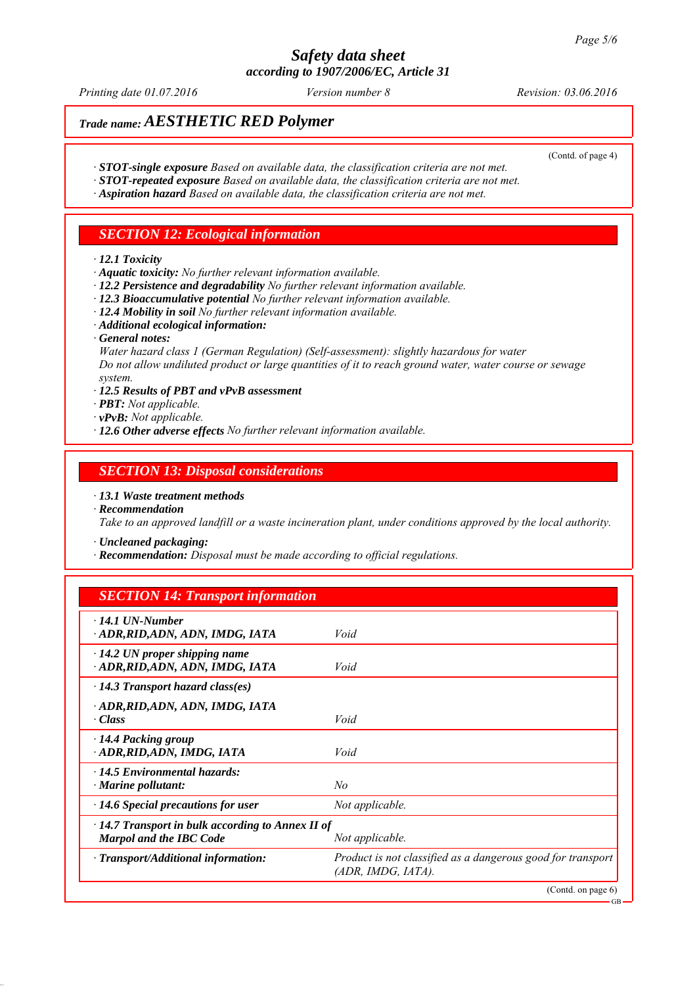*Printing date 01.07.2016 Revision: 03.06.2016 Version number 8*

(Contd. of page 4)

# *Trade name: AESTHETIC RED Polymer*

- *∙ STOT-single exposure Based on available data, the classification criteria are not met.*
- *∙ STOT-repeated exposure Based on available data, the classification criteria are not met.*
- *∙ Aspiration hazard Based on available data, the classification criteria are not met.*

## *SECTION 12: Ecological information*

#### *∙ 12.1 Toxicity*

- *∙ Aquatic toxicity: No further relevant information available.*
- *∙ 12.2 Persistence and degradability No further relevant information available.*
- *∙ 12.3 Bioaccumulative potential No further relevant information available.*
- *∙ 12.4 Mobility in soil No further relevant information available.*
- *∙ Additional ecological information:*
- *∙ General notes:*

*Water hazard class 1 (German Regulation) (Self-assessment): slightly hazardous for water Do not allow undiluted product or large quantities of it to reach ground water, water course or sewage system.*

- *∙ 12.5 Results of PBT and vPvB assessment*
- *∙ PBT: Not applicable.*
- *∙ vPvB: Not applicable.*
- *∙ 12.6 Other adverse effects No further relevant information available.*

### *SECTION 13: Disposal considerations*

- *∙ 13.1 Waste treatment methods*
- *∙ Recommendation*

*Take to an approved landfill or a waste incineration plant, under conditions approved by the local authority.*

*∙ Uncleaned packaging:*

*∙ Recommendation: Disposal must be made according to official regulations.*

### *SECTION 14: Transport information*

| $\cdot$ 14.1 UN-Number<br>· ADR, RID, ADN, ADN, IMDG, IATA                                                   | Void                                                                                 |
|--------------------------------------------------------------------------------------------------------------|--------------------------------------------------------------------------------------|
| $\cdot$ 14.2 UN proper shipping name<br>ADR, RID, ADN, ADN, IMDG, IATA                                       | Void                                                                                 |
| $\cdot$ 14.3 Transport hazard class(es)                                                                      |                                                                                      |
| · ADR,RID,ADN, ADN, IMDG, IATA<br>· Class                                                                    | Void                                                                                 |
| $\cdot$ 14.4 Packing group<br>· ADR, RID, ADN, IMDG, IATA                                                    | Void                                                                                 |
| $\cdot$ 14.5 Environmental hazards:<br>$\cdot$ Marine pollutant:                                             | No                                                                                   |
| $\cdot$ 14.6 Special precautions for user                                                                    | Not applicable.                                                                      |
| $\cdot$ 14.7 Transport in bulk according to Annex II of<br><b>Marpol and the IBC Code</b><br>Not applicable. |                                                                                      |
| $\cdot$ Transport/Additional information:                                                                    | Product is not classified as a dangerous good for transport<br>$(ADR, IMDG, IATA)$ . |
|                                                                                                              | (Contd. on page 6)                                                                   |